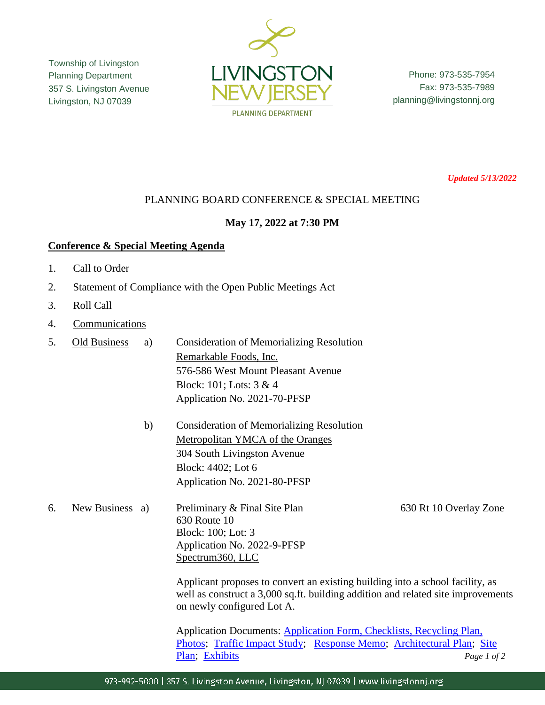Township of Livingston Planning Department 357 S. Livingston Avenue Livingston, NJ 07039



Phone: 973-535-7954 Fax: 973-535-7989 planning@livingstonnj.org

*Updated 5/13/2022*

## PLANNING BOARD CONFERENCE & SPECIAL MEETING

## **May 17, 2022 at 7:30 PM**

## **Conference & Special Meeting Agenda**

- 1. Call to Order
- 2. Statement of Compliance with the Open Public Meetings Act
- 3. Roll Call
- 4. Communications
- 5. Old Business a) Consideration of Memorializing Resolution Remarkable Foods, Inc. 576-586 West Mount Pleasant Avenue Block: 101; Lots: 3 & 4 Application No. 2021-70-PFSP
	- b) Consideration of Memorializing Resolution Metropolitan YMCA of the Oranges 304 South Livingston Avenue Block: 4402; Lot 6 Application No. 2021-80-PFSP

6. New Business a) Preliminary & Final Site Plan 630 Rt 10 Overlay Zone 630 Route 10 Block: 100; Lot: 3 Application No. 2022-9-PFSP Spectrum360, LLC

> Applicant proposes to convert an existing building into a school facility, as well as construct a 3,000 sq.ft. building addition and related site improvements on newly configured Lot A.

Application Documents: [Application Form, Checklists, Recycling Plan,](https://www.livingstonnj.org/DocumentCenter/View/13864/Spectrum360---Application-Docs)  [Photos;](https://www.livingstonnj.org/DocumentCenter/View/13864/Spectrum360---Application-Docs) [Traffic Impact Study;](https://www.livingstonnj.org/DocumentCenter/View/13872/Traffic-Impact-Study-2022-03-30) [Response Memo;](https://www.livingstonnj.org/DocumentCenter/View/13870/Spectrum360---Response-Memo-04-29-2022) [Architectural Plan;](https://www.livingstonnj.org/DocumentCenter/View/13869/Spectrum360---Architectural-Plans-recd-04-29-2022) [Site](https://www.livingstonnj.org/DocumentCenter/View/13871/Spectrum360---Site-Plans-04-22-2022)  [Plan;](https://www.livingstonnj.org/DocumentCenter/View/13871/Spectrum360---Site-Plans-04-22-2022) [Exhibits](https://www.livingstonnj.org/DocumentCenter/View/13876/Spectrum360---All-Exhibits-Combined-compressed) *Page 1 of 2*